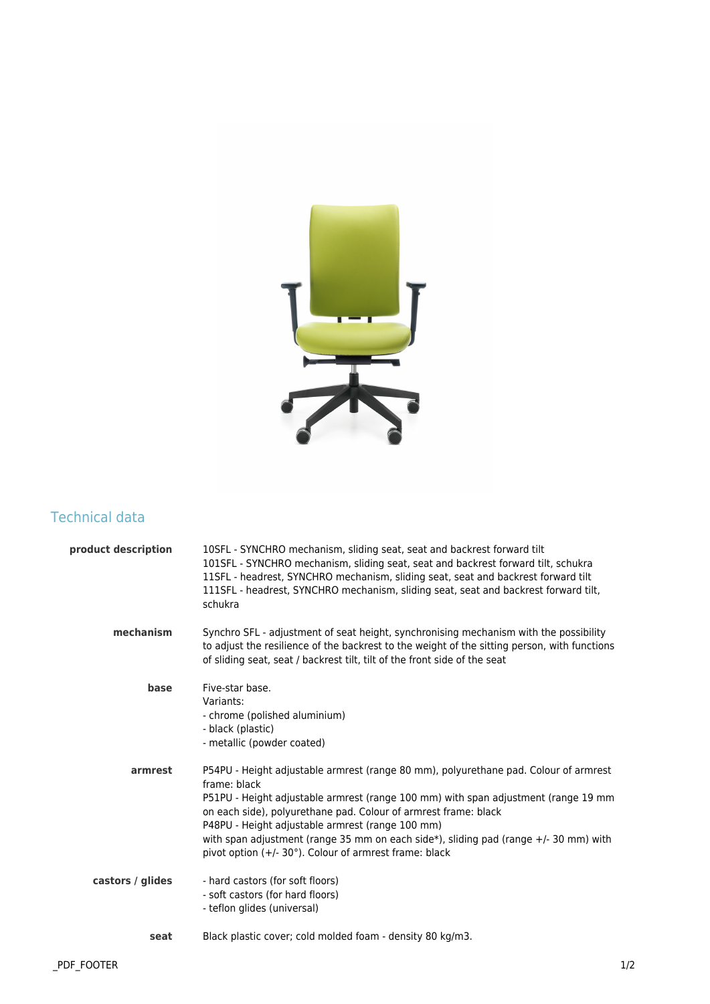

## Technical data

| product description | 10SFL - SYNCHRO mechanism, sliding seat, seat and backrest forward tilt<br>101SFL - SYNCHRO mechanism, sliding seat, seat and backrest forward tilt, schukra<br>11SFL - headrest, SYNCHRO mechanism, sliding seat, seat and backrest forward tilt<br>111SFL - headrest, SYNCHRO mechanism, sliding seat, seat and backrest forward tilt,<br>schukra                                                                                                                 |
|---------------------|---------------------------------------------------------------------------------------------------------------------------------------------------------------------------------------------------------------------------------------------------------------------------------------------------------------------------------------------------------------------------------------------------------------------------------------------------------------------|
| mechanism           | Synchro SFL - adjustment of seat height, synchronising mechanism with the possibility<br>to adjust the resilience of the backrest to the weight of the sitting person, with functions<br>of sliding seat, seat / backrest tilt, tilt of the front side of the seat                                                                                                                                                                                                  |
| base                | Five-star base.<br>Variants:<br>- chrome (polished aluminium)<br>- black (plastic)<br>- metallic (powder coated)                                                                                                                                                                                                                                                                                                                                                    |
| armrest             | P54PU - Height adjustable armrest (range 80 mm), polyurethane pad. Colour of armrest<br>frame: black<br>P51PU - Height adjustable armrest (range 100 mm) with span adjustment (range 19 mm<br>on each side), polyurethane pad. Colour of armrest frame: black<br>P48PU - Height adjustable armrest (range 100 mm)<br>with span adjustment (range 35 mm on each side*), sliding pad (range +/- 30 mm) with<br>pivot option (+/- 30°). Colour of armrest frame: black |
| castors / glides    | - hard castors (for soft floors)<br>- soft castors (for hard floors)<br>- teflon glides (universal)                                                                                                                                                                                                                                                                                                                                                                 |
| seat                | Black plastic cover; cold molded foam - density 80 kg/m3.                                                                                                                                                                                                                                                                                                                                                                                                           |